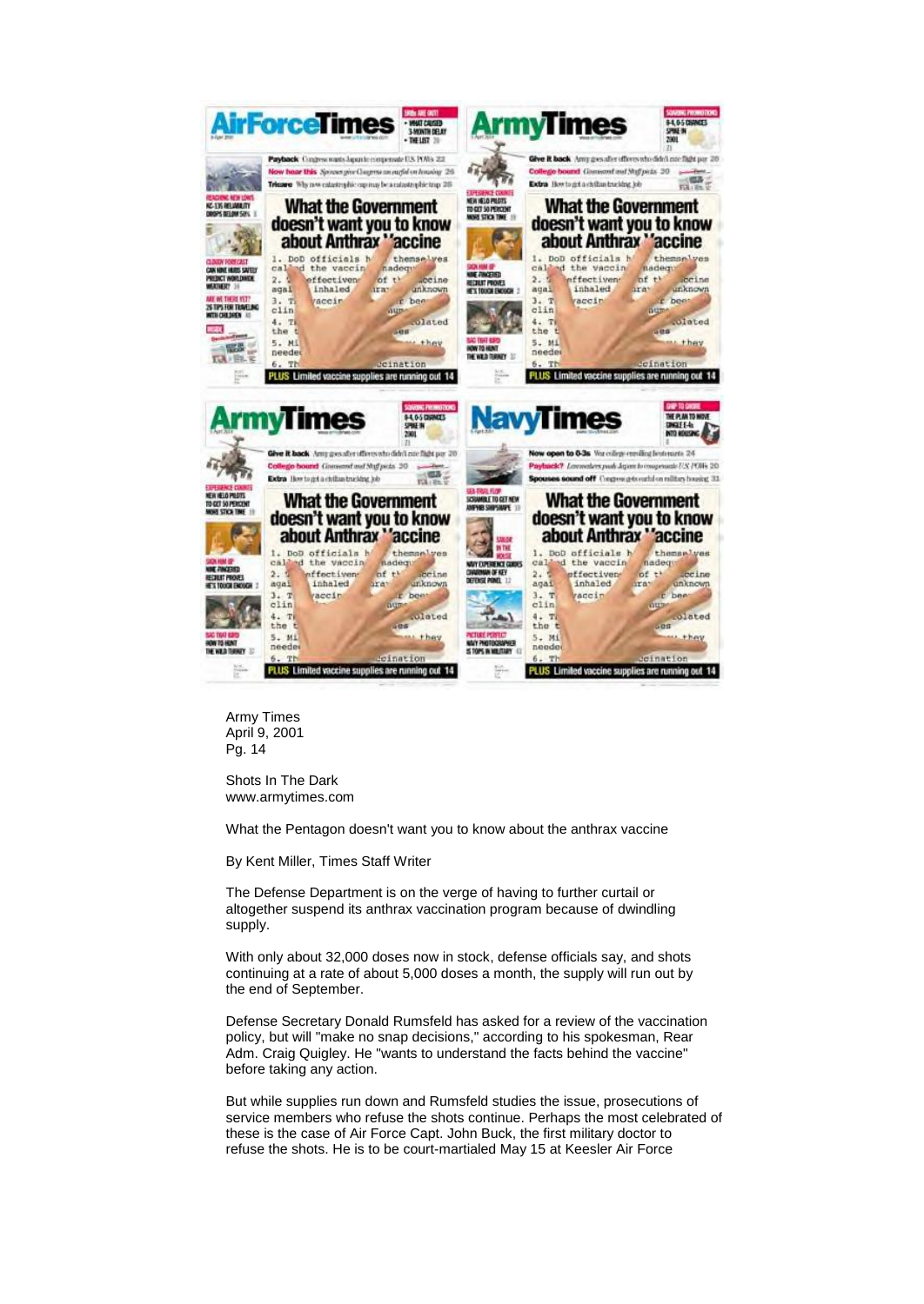

Army Times April 9, 2001 Pg. 14

Shots In The Dark www.armytimes.com

What the Pentagon doesn't want you to know about the anthrax vaccine

By Kent Miller, Times Staff Writer

The Defense Department is on the verge of having to further curtail or altogether suspend its anthrax vaccination program because of dwindling supply.

With only about 32,000 doses now in stock, defense officials say, and shots continuing at a rate of about 5,000 doses a month, the supply will run out by the end of September.

Defense Secretary Donald Rumsfeld has asked for a review of the vaccination policy, but will "make no snap decisions," according to his spokesman, Rear Adm. Craig Quigley. He "wants to understand the facts behind the vaccine" before taking any action.

But while supplies run down and Rumsfeld studies the issue, prosecutions of service members who refuse the shots continue. Perhaps the most celebrated of these is the case of Air Force Capt. John Buck, the first military doctor to refuse the shots. He is to be court-martialed May 15 at Keesler Air Force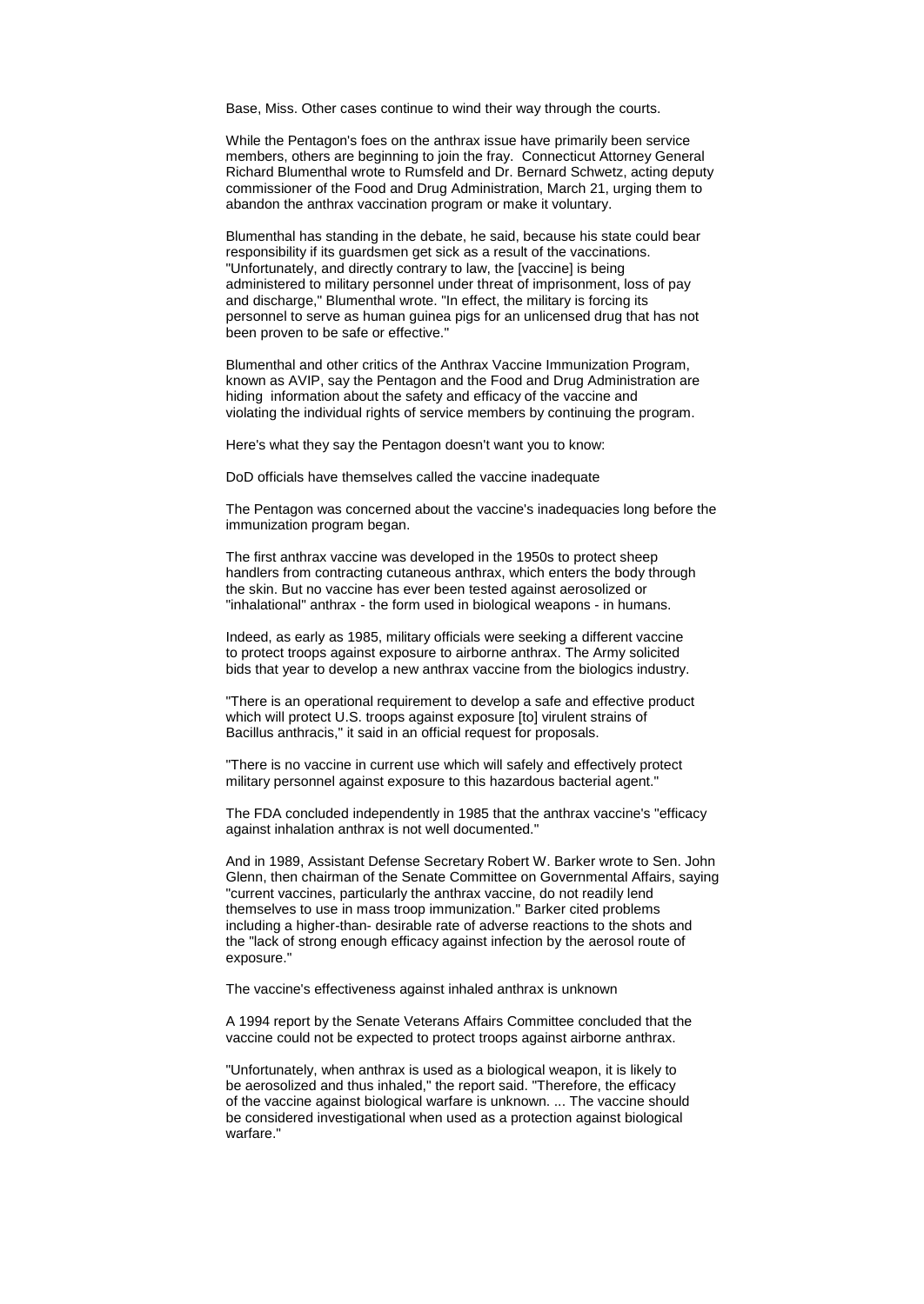Base, Miss. Other cases continue to wind their way through the courts.

While the Pentagon's foes on the anthrax issue have primarily been service members, others are beginning to join the fray. Connecticut Attorney General Richard Blumenthal wrote to Rumsfeld and Dr. Bernard Schwetz, acting deputy commissioner of the Food and Drug Administration, March 21, urging them to abandon the anthrax vaccination program or make it voluntary.

Blumenthal has standing in the debate, he said, because his state could bear responsibility if its guardsmen get sick as a result of the vaccinations. "Unfortunately, and directly contrary to law, the [vaccine] is being administered to military personnel under threat of imprisonment, loss of pay and discharge," Blumenthal wrote. "In effect, the military is forcing its personnel to serve as human guinea pigs for an unlicensed drug that has not been proven to be safe or effective."

Blumenthal and other critics of the Anthrax Vaccine Immunization Program, known as AVIP, say the Pentagon and the Food and Drug Administration are hiding information about the safety and efficacy of the vaccine and violating the individual rights of service members by continuing the program.

Here's what they say the Pentagon doesn't want you to know:

DoD officials have themselves called the vaccine inadequate

The Pentagon was concerned about the vaccine's inadequacies long before the immunization program began.

The first anthrax vaccine was developed in the 1950s to protect sheep handlers from contracting cutaneous anthrax, which enters the body through the skin. But no vaccine has ever been tested against aerosolized or "inhalational" anthrax - the form used in biological weapons - in humans.

Indeed, as early as 1985, military officials were seeking a different vaccine to protect troops against exposure to airborne anthrax. The Army solicited bids that year to develop a new anthrax vaccine from the biologics industry.

"There is an operational requirement to develop a safe and effective product which will protect U.S. troops against exposure [to] virulent strains of Bacillus anthracis," it said in an official request for proposals.

"There is no vaccine in current use which will safely and effectively protect military personnel against exposure to this hazardous bacterial agent."

The FDA concluded independently in 1985 that the anthrax vaccine's "efficacy against inhalation anthrax is not well documented."

And in 1989, Assistant Defense Secretary Robert W. Barker wrote to Sen. John Glenn, then chairman of the Senate Committee on Governmental Affairs, saying "current vaccines, particularly the anthrax vaccine, do not readily lend themselves to use in mass troop immunization." Barker cited problems including a higher-than- desirable rate of adverse reactions to the shots and the "lack of strong enough efficacy against infection by the aerosol route of exposure."

The vaccine's effectiveness against inhaled anthrax is unknown

A 1994 report by the Senate Veterans Affairs Committee concluded that the vaccine could not be expected to protect troops against airborne anthrax.

"Unfortunately, when anthrax is used as a biological weapon, it is likely to be aerosolized and thus inhaled," the report said. "Therefore, the efficacy of the vaccine against biological warfare is unknown. ... The vaccine should be considered investigational when used as a protection against biological warfare."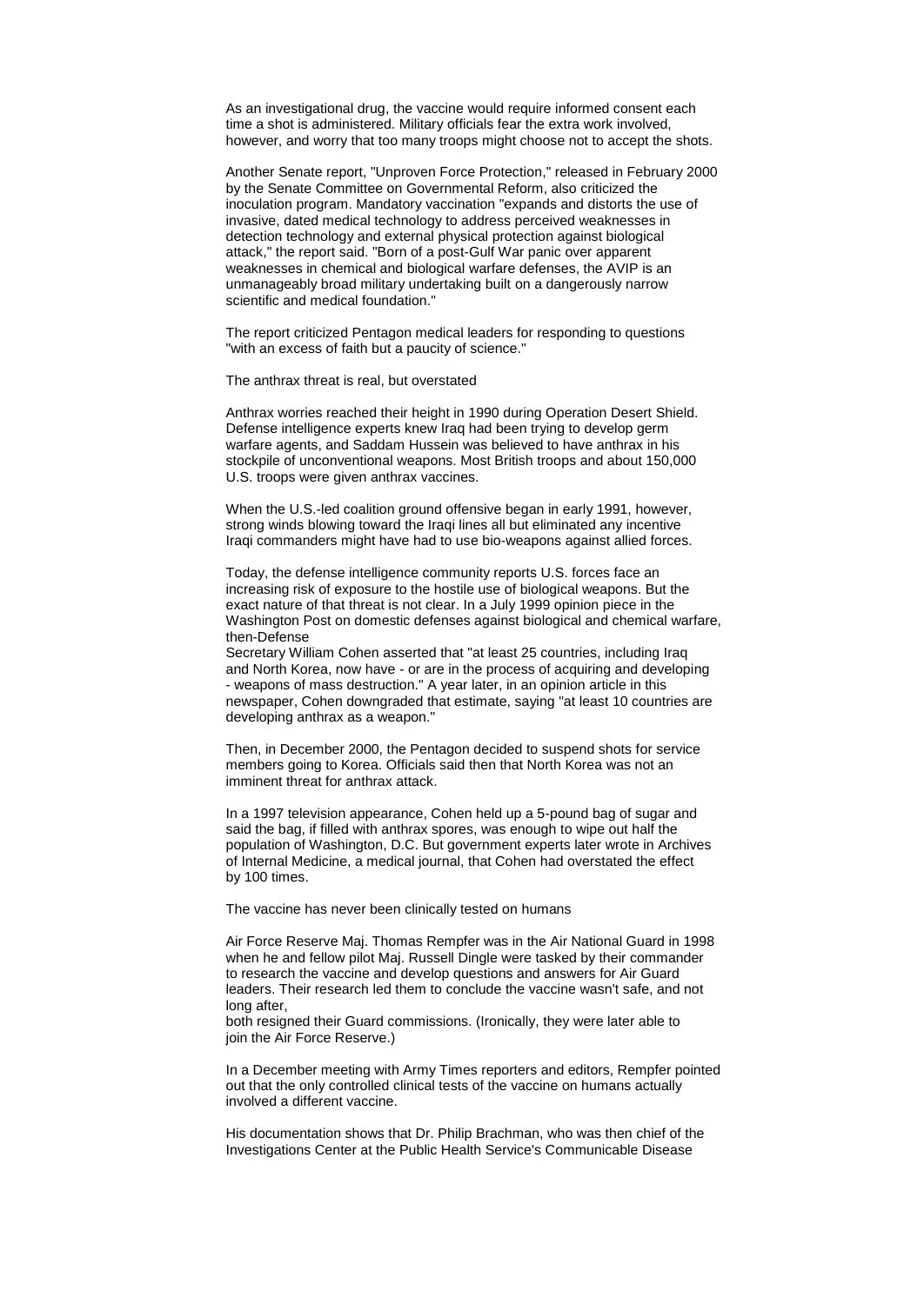As an investigational drug, the vaccine would require informed consent each time a shot is administered. Military officials fear the extra work involved, however, and worry that too many troops might choose not to accept the shots.

Another Senate report, "Unproven Force Protection," released in February 2000 by the Senate Committee on Governmental Reform, also criticized the inoculation program. Mandatory vaccination "expands and distorts the use of invasive, dated medical technology to address perceived weaknesses in detection technology and external physical protection against biological attack," the report said. "Born of a post-Gulf War panic over apparent weaknesses in chemical and biological warfare defenses, the AVIP is an unmanageably broad military undertaking built on a dangerously narrow scientific and medical foundation."

The report criticized Pentagon medical leaders for responding to questions "with an excess of faith but a paucity of science."

The anthrax threat is real, but overstated

Anthrax worries reached their height in 1990 during Operation Desert Shield. Defense intelligence experts knew Iraq had been trying to develop germ warfare agents, and Saddam Hussein was believed to have anthrax in his stockpile of unconventional weapons. Most British troops and about 150,000 U.S. troops were given anthrax vaccines.

When the U.S.-led coalition ground offensive began in early 1991, however, strong winds blowing toward the Iraqi lines all but eliminated any incentive Iraqi commanders might have had to use bio-weapons against allied forces.

Today, the defense intelligence community reports U.S. forces face an increasing risk of exposure to the hostile use of biological weapons. But the exact nature of that threat is not clear. In a July 1999 opinion piece in the Washington Post on domestic defenses against biological and chemical warfare, then-Defense

Secretary William Cohen asserted that "at least 25 countries, including Iraq and North Korea, now have - or are in the process of acquiring and developing - weapons of mass destruction." A year later, in an opinion article in this newspaper, Cohen downgraded that estimate, saying "at least 10 countries are developing anthrax as a weapon."

Then, in December 2000, the Pentagon decided to suspend shots for service members going to Korea. Officials said then that North Korea was not an imminent threat for anthrax attack.

In a 1997 television appearance, Cohen held up a 5-pound bag of sugar and said the bag, if filled with anthrax spores, was enough to wipe out half the population of Washington, D.C. But government experts later wrote in Archives of Internal Medicine, a medical journal, that Cohen had overstated the effect by 100 times.

The vaccine has never been clinically tested on humans

Air Force Reserve Maj. Thomas Rempfer was in the Air National Guard in 1998 when he and fellow pilot Maj. Russell Dingle were tasked by their commander to research the vaccine and develop questions and answers for Air Guard leaders. Their research led them to conclude the vaccine wasn't safe, and not long after,

both resigned their Guard commissions. (Ironically, they were later able to join the Air Force Reserve.)

In a December meeting with Army Times reporters and editors, Rempfer pointed out that the only controlled clinical tests of the vaccine on humans actually involved a different vaccine.

His documentation shows that Dr. Philip Brachman, who was then chief of the Investigations Center at the Public Health Service's Communicable Disease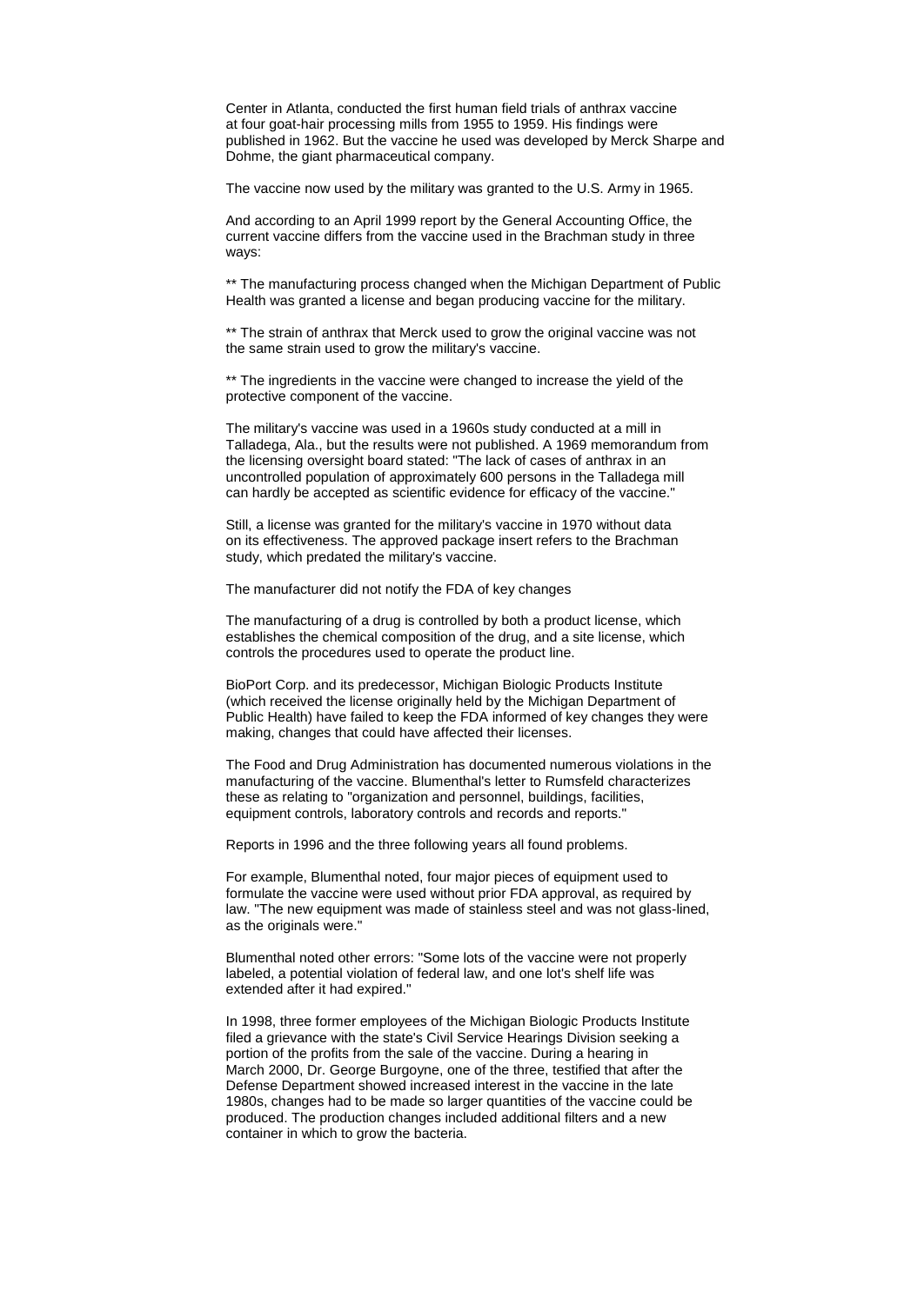Center in Atlanta, conducted the first human field trials of anthrax vaccine at four goat-hair processing mills from 1955 to 1959. His findings were published in 1962. But the vaccine he used was developed by Merck Sharpe and Dohme, the giant pharmaceutical company.

The vaccine now used by the military was granted to the U.S. Army in 1965.

And according to an April 1999 report by the General Accounting Office, the current vaccine differs from the vaccine used in the Brachman study in three ways:

\*\* The manufacturing process changed when the Michigan Department of Public Health was granted a license and began producing vaccine for the military.

\*\* The strain of anthrax that Merck used to grow the original vaccine was not the same strain used to grow the military's vaccine.

\*\* The ingredients in the vaccine were changed to increase the yield of the protective component of the vaccine.

The military's vaccine was used in a 1960s study conducted at a mill in Talladega, Ala., but the results were not published. A 1969 memorandum from the licensing oversight board stated: "The lack of cases of anthrax in an uncontrolled population of approximately 600 persons in the Talladega mill can hardly be accepted as scientific evidence for efficacy of the vaccine."

Still, a license was granted for the military's vaccine in 1970 without data on its effectiveness. The approved package insert refers to the Brachman study, which predated the military's vaccine.

The manufacturer did not notify the FDA of key changes

The manufacturing of a drug is controlled by both a product license, which establishes the chemical composition of the drug, and a site license, which controls the procedures used to operate the product line.

BioPort Corp. and its predecessor, Michigan Biologic Products Institute (which received the license originally held by the Michigan Department of Public Health) have failed to keep the FDA informed of key changes they were making, changes that could have affected their licenses.

The Food and Drug Administration has documented numerous violations in the manufacturing of the vaccine. Blumenthal's letter to Rumsfeld characterizes these as relating to "organization and personnel, buildings, facilities, equipment controls, laboratory controls and records and reports."

Reports in 1996 and the three following years all found problems.

For example, Blumenthal noted, four major pieces of equipment used to formulate the vaccine were used without prior FDA approval, as required by law. "The new equipment was made of stainless steel and was not glass-lined, as the originals were."

Blumenthal noted other errors: "Some lots of the vaccine were not properly labeled, a potential violation of federal law, and one lot's shelf life was extended after it had expired."

In 1998, three former employees of the Michigan Biologic Products Institute filed a grievance with the state's Civil Service Hearings Division seeking a portion of the profits from the sale of the vaccine. During a hearing in March 2000, Dr. George Burgoyne, one of the three, testified that after the Defense Department showed increased interest in the vaccine in the late 1980s, changes had to be made so larger quantities of the vaccine could be produced. The production changes included additional filters and a new container in which to grow the bacteria.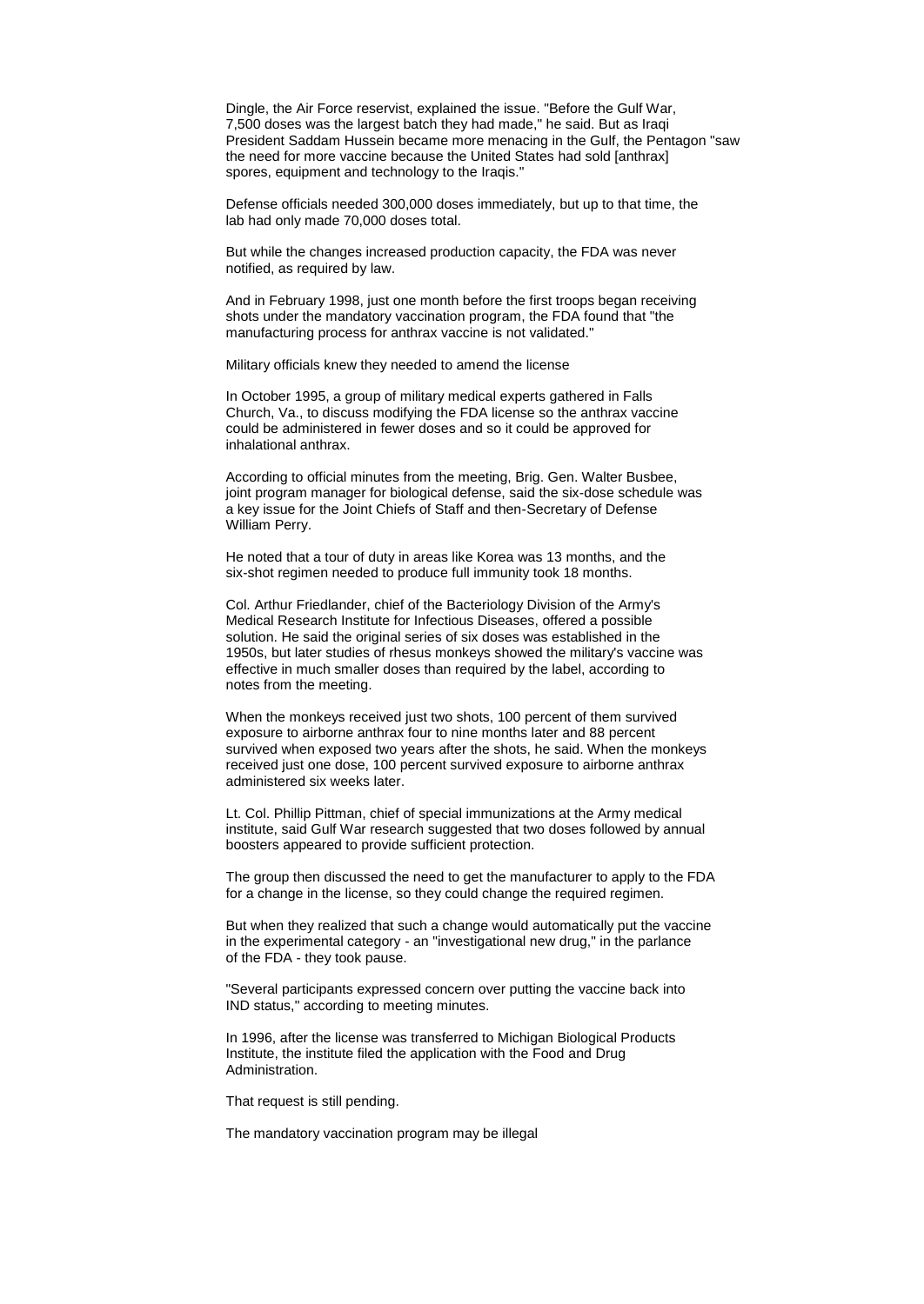Dingle, the Air Force reservist, explained the issue. "Before the Gulf War, 7,500 doses was the largest batch they had made," he said. But as Iraqi President Saddam Hussein became more menacing in the Gulf, the Pentagon "saw the need for more vaccine because the United States had sold [anthrax] spores, equipment and technology to the Iraqis."

Defense officials needed 300,000 doses immediately, but up to that time, the lab had only made 70,000 doses total.

But while the changes increased production capacity, the FDA was never notified, as required by law.

And in February 1998, just one month before the first troops began receiving shots under the mandatory vaccination program, the FDA found that "the manufacturing process for anthrax vaccine is not validated."

Military officials knew they needed to amend the license

In October 1995, a group of military medical experts gathered in Falls Church, Va., to discuss modifying the FDA license so the anthrax vaccine could be administered in fewer doses and so it could be approved for inhalational anthrax.

According to official minutes from the meeting, Brig. Gen. Walter Busbee, joint program manager for biological defense, said the six-dose schedule was a key issue for the Joint Chiefs of Staff and then-Secretary of Defense William Perry.

He noted that a tour of duty in areas like Korea was 13 months, and the six-shot regimen needed to produce full immunity took 18 months.

Col. Arthur Friedlander, chief of the Bacteriology Division of the Army's Medical Research Institute for Infectious Diseases, offered a possible solution. He said the original series of six doses was established in the 1950s, but later studies of rhesus monkeys showed the military's vaccine was effective in much smaller doses than required by the label, according to notes from the meeting.

When the monkeys received just two shots, 100 percent of them survived exposure to airborne anthrax four to nine months later and 88 percent survived when exposed two years after the shots, he said. When the monkeys received just one dose, 100 percent survived exposure to airborne anthrax administered six weeks later.

Lt. Col. Phillip Pittman, chief of special immunizations at the Army medical institute, said Gulf War research suggested that two doses followed by annual boosters appeared to provide sufficient protection.

The group then discussed the need to get the manufacturer to apply to the FDA for a change in the license, so they could change the required regimen.

But when they realized that such a change would automatically put the vaccine in the experimental category - an "investigational new drug," in the parlance of the FDA - they took pause.

"Several participants expressed concern over putting the vaccine back into IND status," according to meeting minutes.

In 1996, after the license was transferred to Michigan Biological Products Institute, the institute filed the application with the Food and Drug Administration.

That request is still pending.

The mandatory vaccination program may be illegal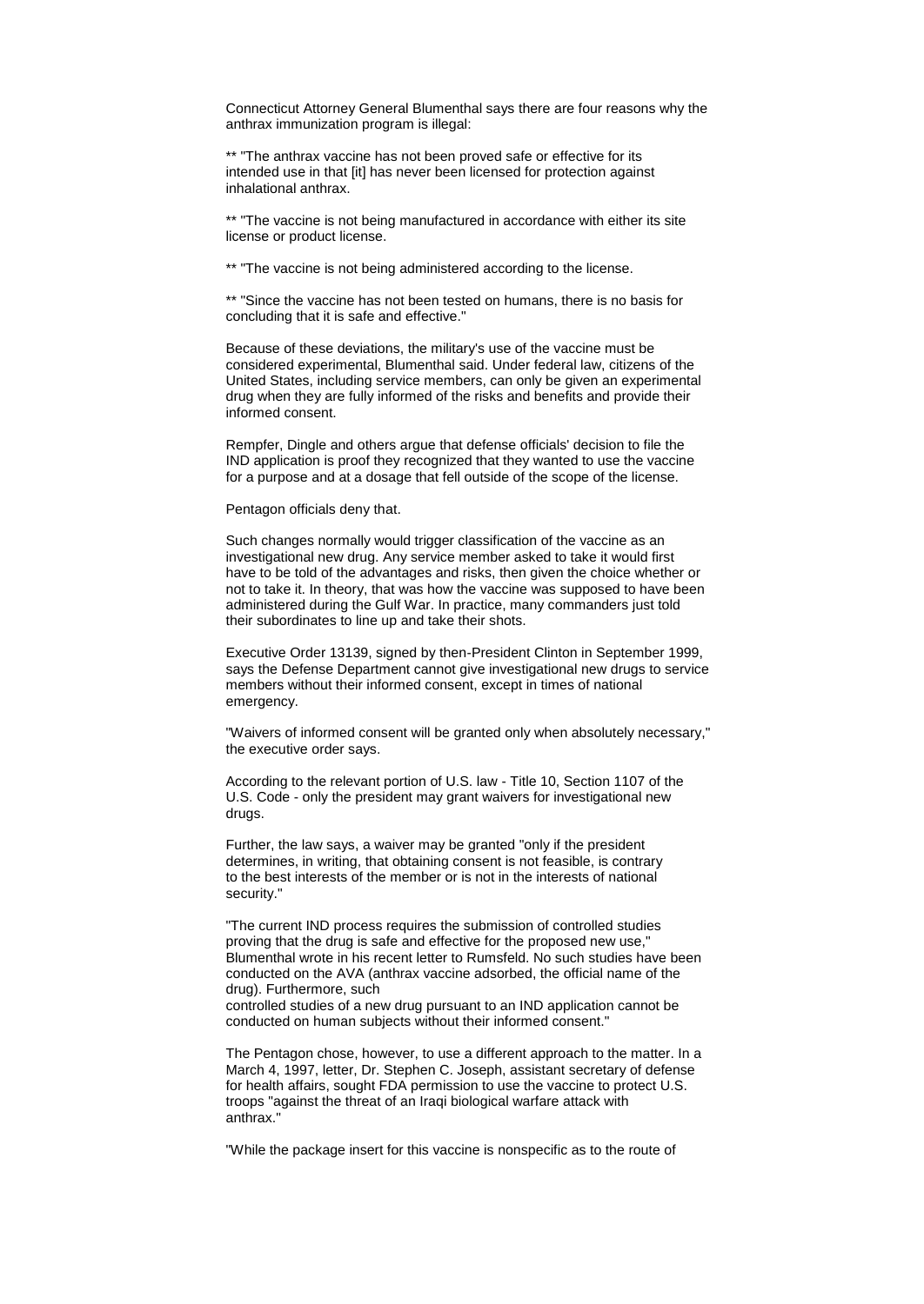Connecticut Attorney General Blumenthal says there are four reasons why the anthrax immunization program is illegal:

\*\* "The anthrax vaccine has not been proved safe or effective for its intended use in that [it] has never been licensed for protection against inhalational anthrax.

\*\* "The vaccine is not being manufactured in accordance with either its site license or product license.

\*\* "The vaccine is not being administered according to the license.

\*\* "Since the vaccine has not been tested on humans, there is no basis for concluding that it is safe and effective."

Because of these deviations, the military's use of the vaccine must be considered experimental, Blumenthal said. Under federal law, citizens of the United States, including service members, can only be given an experimental drug when they are fully informed of the risks and benefits and provide their informed consent.

Rempfer, Dingle and others argue that defense officials' decision to file the IND application is proof they recognized that they wanted to use the vaccine for a purpose and at a dosage that fell outside of the scope of the license.

Pentagon officials deny that.

Such changes normally would trigger classification of the vaccine as an investigational new drug. Any service member asked to take it would first have to be told of the advantages and risks, then given the choice whether or not to take it. In theory, that was how the vaccine was supposed to have been administered during the Gulf War. In practice, many commanders just told their subordinates to line up and take their shots.

Executive Order 13139, signed by then-President Clinton in September 1999, says the Defense Department cannot give investigational new drugs to service members without their informed consent, except in times of national emergency.

"Waivers of informed consent will be granted only when absolutely necessary," the executive order says.

According to the relevant portion of U.S. law - Title 10, Section 1107 of the U.S. Code - only the president may grant waivers for investigational new drugs.

Further, the law says, a waiver may be granted "only if the president determines, in writing, that obtaining consent is not feasible, is contrary to the best interests of the member or is not in the interests of national security."

"The current IND process requires the submission of controlled studies proving that the drug is safe and effective for the proposed new use," Blumenthal wrote in his recent letter to Rumsfeld. No such studies have been conducted on the AVA (anthrax vaccine adsorbed, the official name of the drug). Furthermore, such

controlled studies of a new drug pursuant to an IND application cannot be conducted on human subjects without their informed consent."

The Pentagon chose, however, to use a different approach to the matter. In a March 4, 1997, letter, Dr. Stephen C. Joseph, assistant secretary of defense for health affairs, sought FDA permission to use the vaccine to protect U.S. troops "against the threat of an Iraqi biological warfare attack with anthrax."

"While the package insert for this vaccine is nonspecific as to the route of